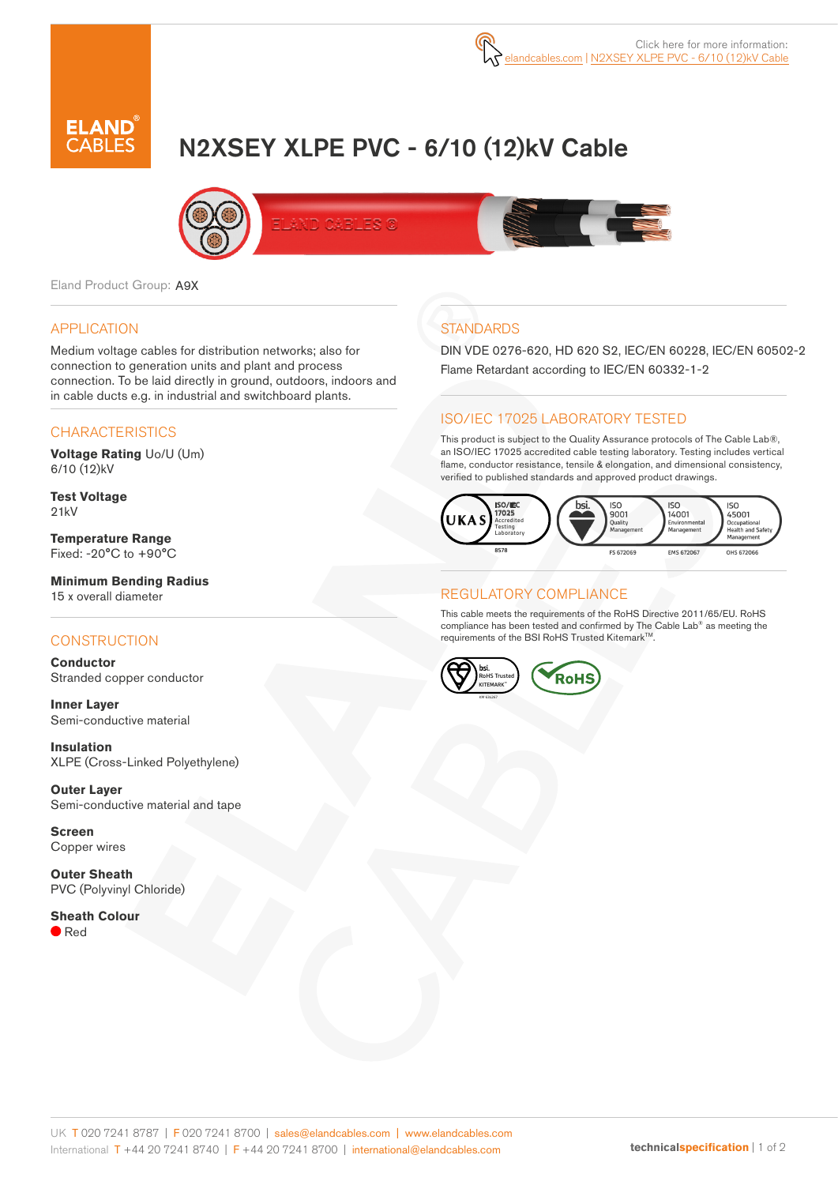

# N2XSEY XLPE PVC - 6/10 (12)kV Cable



Eland Product Group: A9X

### APPLICATION

Medium voltage cables for distribution networks; also for connection to generation units and plant and process connection. To be laid directly in ground, outdoors, indoors and in cable ducts e.g. in industrial and switchboard plants.

#### **CHARACTERISTICS**

**Voltage Rating** Uo/U (Um) 6/10 (12)kV

**Test Voltage** 21kV

**Temperature Range** Fixed: -20°C to +90°C

**Minimum Bending Radius** 15 x overall diameter

## **CONSTRUCTION**

**Conductor** Stranded copper conductor

**Inner Layer** Semi-conductive material

**Insulation** XLPE (Cross-Linked Polyethylene)

**Outer Layer** Semi-conductive material and tape

**Screen** Copper wires

**Outer Sheath** PVC (Polyvinyl Chloride)

**Sheath Colour**  $\blacksquare$  Red

## **STANDARDS**

DIN VDE 0276-620, HD 620 S2, IEC/EN 60228, IEC/EN 60502-2 Flame Retardant according to IEC/EN 60332-1-2

## ISO/IEC 17025 LABORATORY TESTED

This product is subject to the Quality Assurance protocols of The Cable Lab®, an ISO/IEC 17025 accredited cable testing laboratory. Testing includes vertical flame, conductor resistance, tensile & elongation, and dimensional consistency, verified to published standards and approved product drawings.



### REGULATORY COMPLIANCE

This cable meets the requirements of the RoHS Directive 2011/65/EU. RoHS compliance has been tested and confirmed by The Cable Lab® as meeting the requirements of the BSI RoHS Trusted Kitemark™